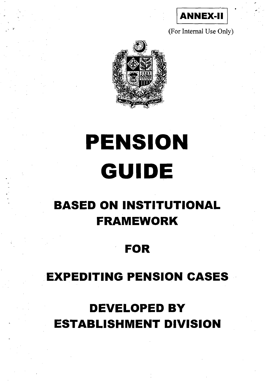

(For Internal Use Only)



# **PENSION GUIDE**

# **BASED ON INSTITUTIONAL FRAMEWORK**

# **FOR**

# **EXPEDITING PENSION CASES**

# **DEVELOPED BY ESTABLISHMENT DIVISION**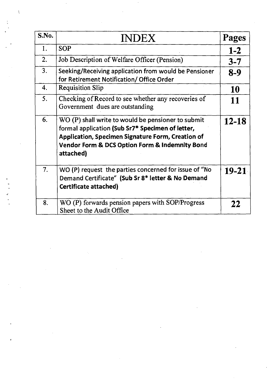| S.No. | <b>INDEX</b>                                                                                                                                                                                                                               | Pages     |
|-------|--------------------------------------------------------------------------------------------------------------------------------------------------------------------------------------------------------------------------------------------|-----------|
| 1.    | <b>SOP</b>                                                                                                                                                                                                                                 | $1-2$     |
| 2.    | Job Description of Welfare Officer (Pension)                                                                                                                                                                                               | $3 - 7$   |
| 3.    | Seeking/Receiving application from would be Pensioner<br>for Retirement Notification/ Office Order                                                                                                                                         | $8-9$     |
| 4.    | <b>Requisition Slip</b>                                                                                                                                                                                                                    | 10        |
| 5.    | Checking of Record to see whether any recoveries of<br>Government dues are outstanding                                                                                                                                                     | 11        |
| 6.    | $WO(P)$ shall write to would be pensioner to submit<br>formal application (Sub Sr7* Specimen of letter,<br>Application, Specimen Signature Form, Creation of<br><b>Vendor Form &amp; DCS Option Form &amp; Indemnity Bond</b><br>attached) | $12 - 18$ |
| 7.    | WO (P) request the parties concerned for issue of "No<br>Demand Certificate" (Sub Sr 8* letter & No Demand<br><b>Certificate attached)</b>                                                                                                 | $19 - 21$ |
| 8.    | WO (P) forwards pension papers with SOP/Progress<br>Sheet to the Audit Office                                                                                                                                                              | 22        |

 $\label{eq:2.1} \mathcal{L}(\mathcal{L}(\mathcal{L})) = \mathcal{L}(\mathcal{L}(\mathcal{L})) = \mathcal{L}(\mathcal{L}(\mathcal{L})) = \mathcal{L}(\mathcal{L}(\mathcal{L})) = \mathcal{L}(\mathcal{L}(\mathcal{L})) = \mathcal{L}(\mathcal{L}(\mathcal{L})) = \mathcal{L}(\mathcal{L}(\mathcal{L})) = \mathcal{L}(\mathcal{L}(\mathcal{L})) = \mathcal{L}(\mathcal{L}(\mathcal{L})) = \mathcal{L}(\mathcal{L}(\mathcal{L})) = \mathcal{L}(\mathcal{L}(\mathcal{L})) = \math$ 

 $\mathcal{L}(\mathcal{L})$  and  $\mathcal{L}(\mathcal{L})$  .

 $\label{eq:2.1} \frac{1}{\sqrt{2}}\int_{\mathbb{R}^3}\frac{1}{\sqrt{2}}\left(\frac{1}{\sqrt{2}}\right)^2\frac{1}{\sqrt{2}}\left(\frac{1}{\sqrt{2}}\right)^2\frac{1}{\sqrt{2}}\left(\frac{1}{\sqrt{2}}\right)^2.$ 

 $\label{eq:2.1} \frac{1}{\sqrt{2}}\int_{\mathbb{R}^3}\frac{1}{\sqrt{2}}\left(\frac{1}{\sqrt{2}}\right)^2\frac{1}{\sqrt{2}}\left(\frac{1}{\sqrt{2}}\right)^2\frac{1}{\sqrt{2}}\left(\frac{1}{\sqrt{2}}\right)^2\frac{1}{\sqrt{2}}\left(\frac{1}{\sqrt{2}}\right)^2.$ 

 $\label{eq:2} \frac{1}{\sqrt{2}}\sum_{i=1}^n\frac{1}{\sqrt{2}}\sum_{i=1}^n\frac{1}{\sqrt{2}}\sum_{i=1}^n\frac{1}{\sqrt{2}}\sum_{i=1}^n\frac{1}{\sqrt{2}}\sum_{i=1}^n\frac{1}{\sqrt{2}}\sum_{i=1}^n\frac{1}{\sqrt{2}}\sum_{i=1}^n\frac{1}{\sqrt{2}}\sum_{i=1}^n\frac{1}{\sqrt{2}}\sum_{i=1}^n\frac{1}{\sqrt{2}}\sum_{i=1}^n\frac{1}{\sqrt{2}}\sum_{i=1}^n\frac{1$ 

 $\mathcal{L}_{\text{max}}$  and  $\mathcal{L}_{\text{max}}$ 

 $\hat{\mathcal{R}}$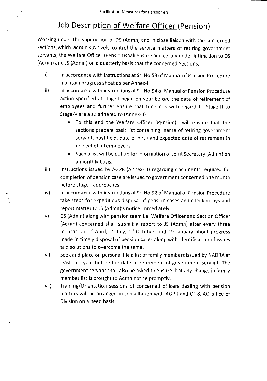# Job Description of Welfare Officer (Pension)

Working under the supervision of DS (Admn) and in close liaison with the concerned sections which administratively control the service matters of retiring government servants, the Welfare Officer (Pension)shall ensure and certify under intimation to DS (Admn) and JS (Admn) on a quarterly basis that the concerned Sections;

- i) In accordance with instructions at Sr. No.53 of Manual of Pension Procedure maintain progress sheet as per Annex-I.
- $\mathsf{ii}$ In accordance with instructions at Sr. No.54 of Manual of Pension Procedure action specified at stage-I begin on year before the date of retirement of employees and further ensure that timelines with regard to Stage-II to Stage-V are also adhered to (Annex-II)
	- To this end the Welfare Officer (Pension) will ensure that the sections prepare basic list containing name of retiring government servant, post held, date of birth and expected date of retirement in respect of all employees.
	- Such a list will be put up for information of Joint Secretary (Admn) on a monthly basis.
- iii) Instructions issued by AGPR (Annex-III) regarding documents required for completion of pension case are issued to government concerned one month before stage-I approaches.
- iv) In accordance with instructions at Sr. No.92 of Manual of Pension Procedure take steps for expeditious disposal of pension cases and check delays and report matter to IS (Admn)'s notice immediately.
- v) DS (Admn) along with pension team i.e. Welfare Officer and Section Officer (Admn) concerned shall submit a report to IS (Admn) after every three months on  $1^{st}$  April,  $1^{st}$  July,  $1^{st}$  October, and  $1^{st}$  January about progress made in timely disposal of pension cases along with identification of issues and solutions to overcome the same.
- vi). Seek and place on personal file a list of family members issued by NADRA at least one year before the date of retirement of government servant. The government servant shall also be asked to ensure that any change in family member list is brought to Admn notice promptly.
- vii) Training/Orientation sessions of concerned officers dealing with pension matters will be arranged in consultation with AGPR and CF & AO office of Division on a need basis.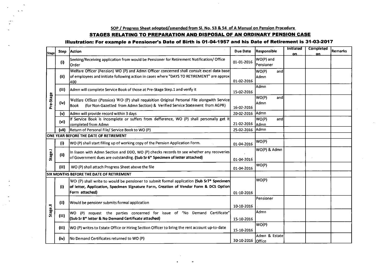#### **SOP / Progress Sheet adopted/amended from SI. No. 53 & 54 of A Manual on Pension Procedure**

#### **STAGES RELATING TO PREPARATION AND DISPOSAL OF AN ORDINARY PENSION CASE**

#### **Illustration: For example a Pensioner's Date of Birth is 01-04-1957 and his Date of Retirement is 31-03-2017**

| <b>Stage</b> | Step  | <b>Action</b>                                                                                                                                                                                       | <b>Due Date</b> | Responsible                    | <b>Initiated</b><br>on. | <b>Completed</b><br>on | Remarks |
|--------------|-------|-----------------------------------------------------------------------------------------------------------------------------------------------------------------------------------------------------|-----------------|--------------------------------|-------------------------|------------------------|---------|
|              | (i)   | Seeking/Receiving application from would be Pensioner for Retirement Notification/Office<br>lOrder                                                                                                  | 01-01-2016      | WO(P) and<br>Pensioner         |                         |                        |         |
|              |       | Welfare Officer (Pension) WO (P) and Admn Officer concerned shall consult excel data base                                                                                                           |                 | WO(P)<br>andl                  |                         |                        |         |
|              | (ii)  | of employees and initiate following action in cases where "DAYS TO RETIREMENT" are approx<br>i400                                                                                                   | 01-02-2016      | lAdmn                          |                         |                        |         |
|              | (iii) | Admn will complete Service Book of those at Pre-Stage Step.1 and verify it                                                                                                                          | 15-02-2016      | Admn                           |                         |                        |         |
| Pre-Stage    | (iv)  | Welfare Officer (Pension) WO (P) shall requisition Original Personal File alongwith Service<br>(for Non-Gazetted from Admn Section) & Verified Service Statement from AGPR)<br> Book                | 16-02-2016      | WO(P)<br>and<br>Admn           |                         |                        |         |
|              | (v)   | Admn will provide record within 3 days                                                                                                                                                              | 20-02-2016      | lAdmn                          |                         |                        |         |
|              | (vi)  | If Service Book is incomplete or suffers from defference, WO (P) shall personally get it<br>completed from Admn                                                                                     | 21-02-2016      | WO(P)<br>and<br>lAdmn          |                         |                        |         |
|              | (vii) | Return of Personal File/ Service Book to WO (P)                                                                                                                                                     | 25-02-2016      | lAdmn                          |                         |                        |         |
|              |       | ONE YEAR BEFORE THE DATE OF RETIREMENT                                                                                                                                                              |                 |                                |                         |                        |         |
|              | (i)   | <b>WO (P)</b> shall start filling up of working copy of the Pension Application Form.                                                                                                               | 01-04-2016      | WO(P)                          |                         |                        |         |
| Stage.l      | (iii) | In lisaon with Admn Section and DDO, WO (P) checks records to see whether any recoveries<br>of Government dues are outstanding. (Sub Sr 6* Specimen of letter attached)                             | 01-04-2016      | WO(P) & Admn                   |                         |                        |         |
|              | (iii) | WO (P) shall attach Progress Sheet above the file                                                                                                                                                   | 01-04-2016      | WO(P)                          |                         |                        |         |
|              |       | <b>SIX MONTHS BEFORE THE DATE OF RETIREMENT</b>                                                                                                                                                     |                 |                                |                         |                        |         |
|              | (i)   | WO (P) shall write to would be pensioner to submit formal application (Sub Sr7* Specimen<br>of letter, Application, Specimen Signature Form, Creation of Vendor Form & DCS Option<br>Form attached) | 01-10-2016      | WO(P)                          |                         |                        |         |
|              | (ii)  | Would be pensionr submits formal application                                                                                                                                                        | 10-10-2016      | Pensioner                      |                         |                        |         |
| Stage.II     | (iii) | WO (P) request the parties concerned for issue of "No Demand Certificate"<br>(Sub Sr 8* letter & No Demand Certificate attached)                                                                    | 15-10-2016      | Admn                           |                         |                        |         |
|              | (iii) | WO (P) writes to Estate Office or Hiring Section Officer to bring the rent account up-to-date                                                                                                       | 15-10-2016      | WO(P)                          |                         |                        |         |
|              | (iv)  | No Demand Certificates returned to WO (P)                                                                                                                                                           | 30-10-2016      | Admn & Estate<br><b>Office</b> |                         |                        |         |

 $\mathbf{u}$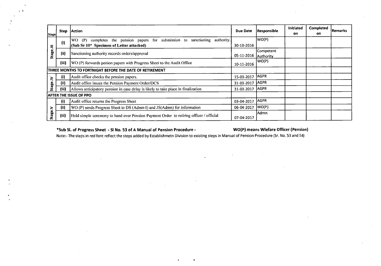| <b>Stage</b>          | Step  | <b>Action</b>                                                                                                                       | <b>Due Date</b> | Responsible                    | <b>Initiated</b><br>on. | <b>Completed</b><br>on. | l Remarks |
|-----------------------|-------|-------------------------------------------------------------------------------------------------------------------------------------|-----------------|--------------------------------|-------------------------|-------------------------|-----------|
| ≡                     | (i)   | completes the pension papers for submission to sanctioning<br>authority.<br>IWO.<br>(P)<br>(Sub Sr 10* Specimen of Letter attached) | 30-10-2016      | WO(P)                          |                         |                         |           |
| <b>Stage</b><br>(iii) |       | Sanctioning authority records orders/approval                                                                                       | 05-11-2016      | Competent<br><b>IAuthority</b> |                         |                         |           |
|                       | (iii) | WO (P) forwards penion papers with Progress Sheet to the Audit Office                                                               | 10-11-2016      | WO(P)                          |                         |                         |           |
|                       |       | THREE MONTHS TO FORTNIGHT BEFORE THE DATE OF RETIREMENT                                                                             |                 |                                |                         |                         |           |
| ⋛                     | (i)   | Audit office checks the pension papers.                                                                                             | 15-03-2017      | <b>AGPR</b>                    |                         |                         |           |
|                       | (ii)  | Audit office issues the Pension Payment Order/DCS                                                                                   | 31-03-2017      | AGPR                           |                         |                         |           |
| Stage.                | (iii) | Allows anticipatory pension in case delay is likely to take place in finalization                                                   |                 | <b>AGPR</b>                    |                         |                         |           |
|                       |       | AFTER THE ISSUE OF PPO                                                                                                              |                 |                                |                         |                         |           |
|                       | (i)   | Audit office returns the Progress Sheet                                                                                             | 03-04-2017      | <b>AGPR</b>                    |                         |                         |           |
|                       | (ii)  | WO (P) sends Progress Sheet to DS (Admn-I) and JS(Admn) for information                                                             | 06-04-2017      | WO(P)                          |                         |                         |           |
| Stage.V               | (iii) | Hold simple ceremony to hand over Pension Payment Order to retiring officer / official                                              | 07-04-2017      | Admn                           |                         |                         |           |

 $\mathcal{A}$ 

#### **\*Sub SI. of Progress Sheet - SI No. 53 of A Manual of Pension Procedure - WO(P) means Wlefare Officer (Pension)**

 $\Delta \tau$ 

 $\ddot{\phantom{1}}$  $\sim$   $^{-3}$ 

 $\sim$ 

Note:- The steps in red font reflect the steps added by Establishmetn Division to existing steps in Manual of Pension Procedure (Sr. No. 53 and 54)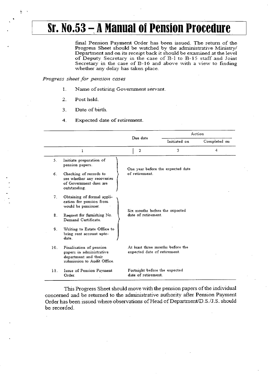# **Sr. No.53 — A Manual of Pension Procedure**

final Pension Payment. Order has been issued. The return of the Progress Sheet should be watched by the administrative Ministry/ Department and on its receipt back it should be examined at the level of Deputy Secretary in the case of B-1 to B-15 staff and Joint Secretary in the case of B-16 and above with a view to finding whether any delay has taken place\_

#### *Progress shoot for \_pension cases*

- $\mathbf{1}$ . Name of retiring Government servant
- **2.** Post held\_

ţ

- 3. Date of birth.
- 4. Expected date of retirement

|                 |                                                                                                            | Due date                                            |                                                       | Action       |  |  |
|-----------------|------------------------------------------------------------------------------------------------------------|-----------------------------------------------------|-------------------------------------------------------|--------------|--|--|
|                 |                                                                                                            |                                                     | Initizted on                                          | Completed on |  |  |
|                 | 1                                                                                                          | $\mathbf{r}$                                        | 3                                                     | 4            |  |  |
| 5.              | Initiate preparation of<br>pension papers.                                                                 |                                                     | One year before the expected date                     |              |  |  |
| 6.              | Checking of records to<br>see whether any recoveries<br>of Government dues are<br>outstanding.             | of retirement.                                      |                                                       |              |  |  |
| 7.              | Obtaining of formal appli-<br>cation for pension from<br>would be pensioner.                               |                                                     | Six months before the expected<br>date of retirement. |              |  |  |
| 8.              | Request for furnishing No.<br>Demand Certificate.                                                          |                                                     |                                                       |              |  |  |
| 9.              | Writing to Estate Office to<br>bring rent account upto-<br>date.                                           |                                                     |                                                       |              |  |  |
| 10 <sub>1</sub> | Finalisation of pension<br>papers in administrative<br>department and their<br>submission to Audit Office. | expected date of retirement.                        | At least three months before the                      |              |  |  |
| 11.             | <b>Issue of Pension Payment</b><br>Order.                                                                  | Fortnight before the expected<br>date of retirement |                                                       |              |  |  |

This Progress Sheet should move with the pension papers of the individual concerned and be returned to the administrative authority after Pension Payment Order has been issued where observations of Head of Department/D.S./J.S. should be recorded.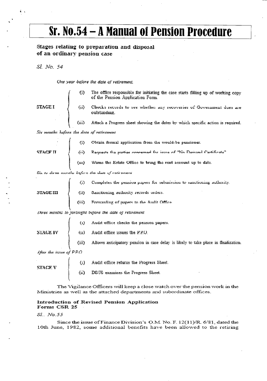# **Sr. No.54 – A Manual of Pension Procedure**

#### Stages relating to preparation and disposal of an. ordinary pension ca5e

*St NO. 54* 

Chie year before the date of retirement.

| Ù. | The office responsible for initiating the case starts filling up of working copy<br>of the Pension Application Form. |
|----|----------------------------------------------------------------------------------------------------------------------|
|----|----------------------------------------------------------------------------------------------------------------------|

STAGE I

cords to see whether any recoveries of Government dues are outstanding\_

(iii) Attach a Progress sheet showing the dates by which specific action is required.

Sir mouths hefore the date of retirement

| (i) | Obtain formal application from the would-be pensioner.              |
|-----|---------------------------------------------------------------------|
|     |                                                                     |
|     | (iii) Warns the Estate Office to bring the rent account up to date. |

 $t$ *i.*  $\omega$  *direction-index before the dise of retirement* 

(i) Completes the pension papers for submission to sanctioning authority.

**3TAGE III**  $\int$  (ii) 3 anotioning authority records orders.

 $(iii)$ Forwarding of papers to the Audit Office.

*Jures months to jortinght before the date of retirement* 

|                        | $\{1\}$          | Audit office checks the pension papers.                                            |
|------------------------|------------------|------------------------------------------------------------------------------------|
| <b>STAGE IV</b>        | (1)              | Audit office issues the P.P.O.                                                     |
|                        | (iii)            | Allows anticipatory pension in case delay is likely to take place in finalization. |
| After the issue of PPC |                  |                                                                                    |
|                        | $\left(1\right)$ | Audit office returns the Progress Sheet.                                           |
| STACE V                | (n)              | DS/J8 examines the Progress Sheet.                                                 |

The Vigilance Officers will keep a close watch over the pension work in the Ministries as well as the attached departments and subordinate offices..

#### Introduction of Revised Pension Application Forms CSR 25

#### *Si No,55*

Since the issue of Finance Division's O.M. No. F.  $12(11)/R$ . 6/81, dated the 10th June, 1982, some additional benefits have been allowed to the retiring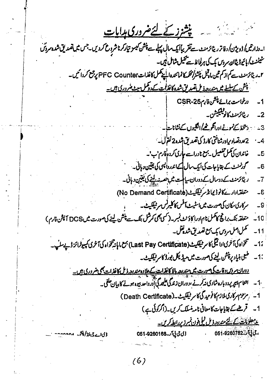<u>پشزر کے لئےضروری ہدایات</u> **\_**  ا-دزارتیں/ذوی<sup>و</sup>ن/دفاتر ریٹائرمنٹ سے تقریباًا کیے سال پہلے سے پنش کیسو تیار کرنا شروع کردیں۔جس میں تصدیق شدہ سروش شینمنسٹ کم بائیوڈیٹااور سردس یک کی ہرلجانا۔ <u>س</u>یمیل شامل نہیں۔ ۲۔ ریٹائزمنٹ ہے کم از کم تین م**ادنس پنشز/محکسکا نمائندہ الیچے کھل کاغذات PFC Counter پر جمع کردائیں۔** <u>بیش کے سلسلے میں مندرجہ ڈ مل تعدر لق شدہ کاغذات کے دوگمل ہیٹ ضروری ہیں۔</u> ورخواست برائي<del>خش</del> فارمCSR-25  $-1$ رىئائزمنىڭ كانو*قىلى*شن - $-2$ - دىتخط كےنمونے ا**درانگو <u>م</u>ىٰ/الکيوں كےنشانات</mark>** -"-  $\therefore$  3 2 عددتصاد 1<sub>2</sub> ورشناختی کارڈ کی تصدیق شدہ2 نقول۔  $-4$ **-1...;p1,1145J** *C.JJ.,t01...tfr•Vab allejlAit;* **-5**  محمد *منٹ کے* بقایا جات کی ایک سال کے اندروا<sup>لی</sup>سی کی یقین دہانی۔  **-6**  7۔ دیا کرمنٹ کے دوسال کے دوران سیا است میں حصہ نہ اپنے کی یقین دہائی۔ **(No Demand Certificatit).L,.\*:// -6**  مرکاری مکان کی صورت میں اسٹیٹ آفس کا کلیرنس میقلیٹ۔ **-9**  متعلقہ بنک براج کا ممل نام ادرا کاؤنٹ نمبر۔(کسی محی کمرشل بنک سے پنشن لینے کی صورت میں DCS آپشن فارم) **Li • -LiALL-44;t440/01()" -11 • "re..W. <sup>t</sup> Irkille.:115)Tifsi.41.04(Last Pay Certificate).tRjeabidida"**   $-12$ +1 - طبق بنیاد پ<del>رنیش لینے کی صورت میں میڈیکل بورڈ کا مرئینکیٹ۔</del> <u> دوران مروس وقات کی صورت میں متدرجہ دالا کاغذات کے علاوہ مندرجہ ذیل کاغذات بھی ضروری ہیں۔</u> *—iii°0141(2—n e4 )01,J;11,1-\$1.16S WU', c":45)liai,,.44.4r .* 1- / م<br />Death Certificate) 1- قريض كے بقايا جات كا معانى نامە نسلك كريں۔ (اكركولى ب) <u>برمعلومات کے لئے مندرد وال کی یوں نمبرد پردائیا کریں۔</u><br>، بابابابنہ260782-051 لى تى يا *آر* -051-9260168 ذي سے ق نظر پش موجود

 $(6)$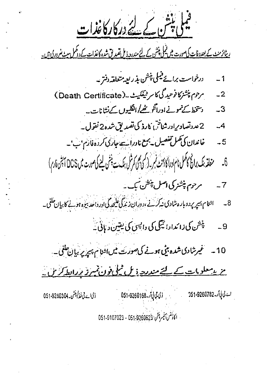حیل پنش کے لئے درکارکاغذات

<u>ریٹائرمنٹ کے بعدد فات کی صورت میں قیملی پنشن کے لئے مندرجہ ذیل تقید لق شدہ کاغذات کے دوکمل سٹ منر دری ہیں۔</u>

- 1 \_\_\_\_ درخواست برائ<sup>ے قیم</sup>لی پنشن بذراییہ متعلقہ دنتر۔
- 2- مردم پنشزکانو تیدگی کا مرش<del>قکیٹ۔ (</del>Death Certificate)
	- دستخط کے تمونے اورانگر <u>مٹھ</u>/الگلیوں کے نشانات۔ *-3*
	- 2عددتصادىرادر شناختى كارذ كى تصديق شده2 نقول \_ **\_4**
	- 5- خاندان کی تھل تفصیل یہ ہے نادراستہ جاری کردہ فارم ہے۔
- متعلقہ بنک برائج کانکمل نام اورا کا دَمن نمبر۔(کسی ہمی) مرکزل بنک سے بنش لینے کی صورت میں DCS انہیں فارم)  $\delta$ 7 *- م*سرحوم پنشز کی اصل پنشن بک ۔
- اشنا م پسپر پر دوبار د شادی نیکر نے ،دوران زندگی علیحدگی اور داحد بیڑہ ہونے کا بیان حلقی۔  $-8$ 
	- ینشن کی زائدارائیگی کی دایسی کی یقین دیانی۔  $-9$
	- *\_ (fro LI! .16152...yr Lt.: \* a.Aet \_ 1*0

ح پیسلوبا<u>ت کے لئے مندرہ ذیل نمل نوں نمبرز بردان کریں۔</u>

051-9260304-AUz- *Li)* 051.9260168-i اكادُسْ) لِمَبِهِشْ: 051.9260623 - 051.9107023 **151-9260782 ../11**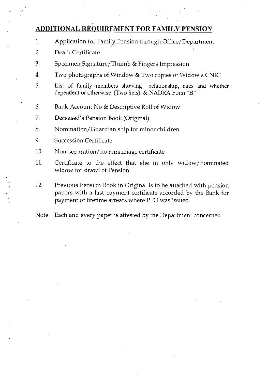### **ADDITIONAL REQUIREMENT FOR FAMILY PENSION**

- 1. Application for Family Pension through Office/Department
- 2. Death Certificate
- 3. Specimen Signature/Thumb & Fingers Impression
- 4. Two photographs of Window & Two copies of Widow's CNIC
- 5. List of family members showing relationship, ages and whether dependent or otherwise (Two Sets) & NADRA Form "B"
- 6. Bank Account No & Descriptive Roll of Widow
- 7. Deceased's Pension Book (Original)
- 8. Nomination/ Guardian ship for minor children
- 9. Succession Certificate
- 10. Non-separation/no remarriage certificate
- 11. Certificate to the effect that she in only widow/nominated widow for drawl of Pension
- 12. Previous Pension Book in Original is to be attached with pension papers with a last payment certificate accorded by the Bank for payment of lifetime arrears where PPO was issued.
- Note Each and every paper is attested by the Department concerned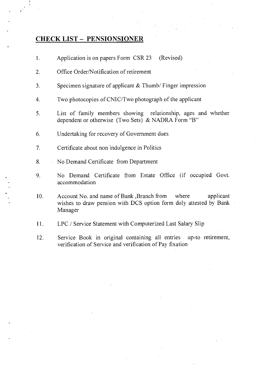### CHECK LIST - PENSIONSIONER

- 1. Application is on papers Form CSR 23 (Revised)
- 2. Office Order/Notification of retirement
- 3. Specimen signature of applicant & Thumb/ Finger impression
- 4. Two photocopies of CNIC/Two photograph of the applicant
- 5. List of family members showing relationship, ages and whether dependent or otherwise (Two Sets) & NADRA Form "B"
- 6. Undertaking for recovery of Government dues
- 7. Certificate about non indulgence in Politics
- 8. No Demand Certificate from Department
- 9. No Demand Certificate from Estate Office (if occupied Govt. accommodation
- 10. Account No. and name of Bank ,Branch from where applicant wishes to draw pension with DCS option form duly attested by Bank Manager
- 11. LPC / Service Statement with Computerized Last Salary Slip
- 12. Service Book in original containing all entries up-to retirement, verification of Service and verification of Pay fixation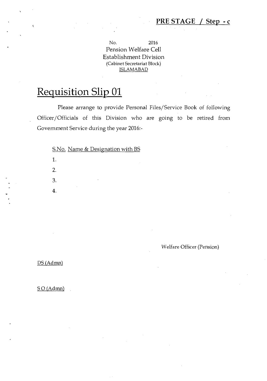Welfare Officer (Pension)

No. 2016 Pension Welfare Cell Establishment Division (Cabinet Secretariat Block) ISLAMABAD

# Requisition Slip 01

Please arrange to provide Personal Files/Service Book of following Officer/Officials of this Division who are going to be retired from Government Service during the year 2016:-

S.No. Name & Designation with BS

 $DS (Admn)$ 

1.

 $\hat{\mathbf{v}}$ 

2.

3.

4.

 $SO(Admn)$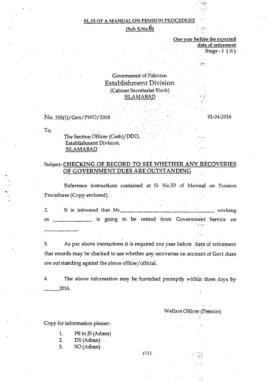#### $(Sub S.No.6)$

One year before the expected date of retirement Stage - I (ii)

• in •

 $p \nmid l$ 

 $\leftrightarrow$ 

#### Government of Pakistan Establishment Division (Cabinet Secretariat Block) ISLAMABAD

No. 333(1)/Gen/ PWO/ 2016

01-04-2016

To,

The Section Officer (Cash)/DDO, Establishment Division, ISLAMABAD

#### Subject:-CHECKING OF RECORD TO SEE WHETHER ANY RECOVERIES OF GOVERNMENT DUES ARE OUTSTANDING

Reference instructions contained at Sr No.53 of Mantial on Pension Procedures (Copy enclosed).

It is informed that Mr working  $2.$ as \_\_\_\_\_\_\_\_\_\_\_\_\_\_ is going to be retired from Government Service on •

3. As per above instructions it is required one year before date of retirement that records may be checked to see whether any recoveries on account of Govt dues are out standing against the above officer/official.

4. The above information may be furnished promptly within three days by 2016.

#### Welfare Officer (Pension)

••• •11, ••:•; *;•* 

•

Copy for information please:-

- 1. PS to JS (Admn)
- 2. DS (Admn)
- 3. SO (Admn)

 $(11)$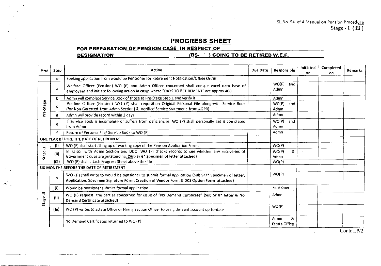### **PROGRESS SHEET**

#### **FOR PREPARATION OF PENSION CASE IN RESPECT OF**

**DESIGNATION (BS- ) GOING TO BE RETIRED W.E.F.** 

| Stage      | <b>Step</b> | Action                                                                                                                                                                                           | Due Date | Responsible                       | Initiated<br>on. | Completed<br>oп | <b>Remarks</b> |
|------------|-------------|--------------------------------------------------------------------------------------------------------------------------------------------------------------------------------------------------|----------|-----------------------------------|------------------|-----------------|----------------|
|            | $\circ$     | Seeking application from would be Pensioner for Retirement Notification/Office Order                                                                                                             |          |                                   |                  |                 |                |
| Pre-Stage  | a           | Welfare Officer (Pension) WO (P) and Admn Officer concerned shall consult excel data base of<br>employees and initiate following action in cases where "DAYS TO RETIREMENT" are approx 400       |          | WO(P)<br>and<br>Admn              |                  |                 |                |
|            | b           | Admn will complete Service Book of those at Pre-Stage Step.1 and verify it                                                                                                                       |          | Admn                              |                  |                 |                |
|            | $\epsilon$  | Welfare Officer (Pension) WO (P) shall requisition Original Personal File along-with Service Book<br>(for Non-Gazetted from Admn Section) & Verified Service Statement from AGPR)                |          | WO(P)<br>and<br>Admn              |                  |                 |                |
|            | d           | Admn will provide record within 3 days                                                                                                                                                           |          | Admn                              |                  |                 |                |
|            | e           | If Service Book is incomplete or suffers from deficiencies, WO (P) shall personally get it completed<br>from Admn                                                                                |          | WO(P)<br>and<br>Admn              |                  |                 |                |
|            | $\mathbf f$ | Return of Personal File/ Service Book to WO (P)                                                                                                                                                  |          | Admn                              |                  |                 |                |
|            |             | ONE YEAR BEFORE THE DATE OF RETIREMENT                                                                                                                                                           |          |                                   |                  |                 |                |
|            | (i)         | WO (P) shall start filling up of working copy of the Pension Application Form.                                                                                                                   |          | WO(P)                             |                  |                 |                |
| Stage-.l   | (ii)        | In liaison with Admn Section and DDO, WO (P) checks records to see whether any recoveries of<br>Government dues are outstanding. (Sub Sr 6* Specimen of letter attached)                         |          | &<br>WO(P)<br>Admn                |                  |                 |                |
|            | (iii)       | WO (P) shall attach Progress Sheet above the file                                                                                                                                                |          | WO(P)                             |                  |                 |                |
|            |             | SIX MONTHS BEFORE THE DATE OF RETIREMENT                                                                                                                                                         |          |                                   |                  |                 |                |
|            | O           | WO (P) shall write to would be pensioner to submit formal application (Sub Sr7* Specimen of letter,<br>Application, Specimen Signature Form, Creation of Vendor Form & DCS Option Form attached) |          | WO(P)                             |                  |                 |                |
|            | (i)         | Would be pensioner submits formal application                                                                                                                                                    |          | Pensioner                         |                  |                 |                |
| ₹<br>Stage | (i)         | WO (P) request the parties concerned for issue of "No Demand Certificate" (Sub Sr 8* letter & No<br><b>Demand Certificate attached)</b>                                                          |          | Admn                              |                  |                 |                |
|            | (iii)       | WO (P) writes to Estate Office or Hiring Section Officer to bring the rent account up-to-date                                                                                                    |          | WO(P)                             |                  |                 |                |
|            |             | No Demand Certificates returned to WO (P)                                                                                                                                                        |          | &<br>Admn<br><b>Estate Office</b> |                  |                 |                |

Contd...P/2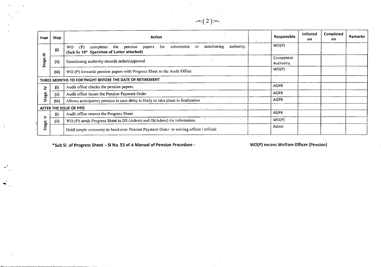| <b>Stage</b> | Step                 | <b>Action</b>                                                                                                                                           | <b>Responsible</b>     | Initiated<br>on | Completed<br>on | Remarks |
|--------------|----------------------|---------------------------------------------------------------------------------------------------------------------------------------------------------|------------------------|-----------------|-----------------|---------|
| Ξ            | (i)                  | authority.<br>submission<br>sanctioning<br>for<br>to<br>WO.<br>the<br>papers<br>(P)<br>completes<br>pension<br>(Sub Sr 10* Specimen of Letter attached) | WO(P)                  |                 |                 |         |
| c<br>Stag    | (ii)                 | Sanctioning authority records orders/approval                                                                                                           | Competent<br>Authority |                 |                 |         |
|              | (iii)                | WO (P) forwards pension papers with Progress Sheet to the Audit Office                                                                                  | WO(P)                  |                 |                 |         |
|              |                      | THREE MONTHS TO FORTNIGHT BEFORE THE DATE OF RETIREMENT                                                                                                 |                        |                 |                 |         |
| ≥            | $\left($ i $\right)$ | Audit office checks the pension papers.                                                                                                                 | <b>AGPR</b>            |                 |                 |         |
|              | (i)                  | Audit office issues the Pension Payment Order                                                                                                           | <b>AGPR</b>            |                 |                 |         |
| Stage        | (iii)                | Allows anticipatory pension in case delay is likely to take place in finalization                                                                       | <b>AGPR</b>            |                 |                 |         |
|              |                      | AFTER THE ISSUE OF PPO                                                                                                                                  |                        |                 |                 |         |
|              | (i)                  | Audit office returns the Progress Sheet                                                                                                                 | <b>AGPR</b>            |                 |                 |         |
|              | (i)                  | WO (P) sends Progress Sheet to DS (Admn) and JS(Admn) for information                                                                                   | WO(P)                  |                 |                 |         |
| Stage.       |                      | Hold simple ceremony to hand over Pension Payment Order to retiring officer / official                                                                  | Admn                   |                 |                 |         |

 $=:(2):=-$ 

\*Sub SI. of Progress Sheet - SI No. 53 of A Manual of Pension Procedure - WO(P) means Welfare Officer (Pension)

 $\frac{1}{2}$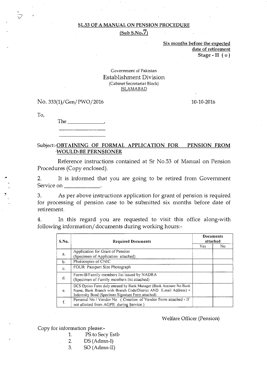$(Sub S.No.7)$ 

Six months before the expected date of retirement Stage - II ( o )

#### Government of Pakistan Establishment Division (Cabinet Secretariat Block) ISLAMABAD

#### No. 333(1)/Gen/PWO/2016 10-10-2016

To,

The

#### Subject:-OBTAINING OF FORMAL APPLICATION FOR PENSION FROM WOULD-BE PERNSIONER

Reference instructions contained at Sr No.53 of Manual on Pension Procedures (Copy enclosed).

2. It is informed that you are going to be retired from Government Service on \_\_\_\_\_\_\_\_\_\_\_\_\_.

3. As per above instructions application for grant of pension is required for processing of pension case to be submitted six months before date of retirement.

4. In this regard you are requested to visit this office along-with following information/documents during working hours:-

| S.No. | <b>Required Documents</b>                                                                                                                                                                      |            | <b>Documents</b><br>attached |
|-------|------------------------------------------------------------------------------------------------------------------------------------------------------------------------------------------------|------------|------------------------------|
|       |                                                                                                                                                                                                | <b>Yes</b> | No                           |
|       | Application for Grant of Pension                                                                                                                                                               |            |                              |
| a.    | (Specimen of Application attached)                                                                                                                                                             |            |                              |
| b.    | Photocopies of CNIC                                                                                                                                                                            |            |                              |
| c.    | FOUR Passport Size Photograph                                                                                                                                                                  |            |                              |
| d.    | Form-B/Family members list issued by NADRA<br>(Specimen of Family members list attached)                                                                                                       |            |                              |
| e.    | DCS Option Form duly attested by Bank Manager (Bank Account No Bank)<br>Name, Bank Branch with Branch Code/District AND E.mail Address) +<br>Indemnity Bond (Specimen Signature Form attached) |            |                              |
| f.    | Personal No / Vendor No ( Creation of Vendor Form attached - If<br>not allotted from AGPR during Service)                                                                                      |            |                              |

Welfare Officer (Pension)

Copy for information please:-

- 1. PS to Secy Estb
- $2.$  DS (Admn-I)
- $3.$  SO (Admn-II)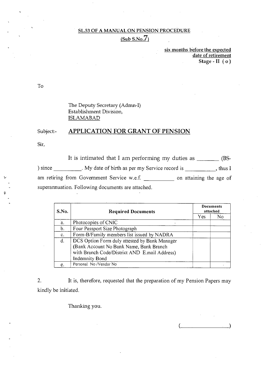$(Sub S.No.7)$ 

six months before the expected date of retirement Stage - II ( o )

To

The Deputy Secretary (Admn-I) Establishment Division, ISLAMABAD

#### Subject: APPLICATION FOR GRANT OF PENSION

Sir,

It is intimated that I am performing my duties as  $\frac{1}{\sqrt{2\pi}}$  (BS-) since \_\_\_\_\_\_\_\_\_. My date of birth as per my Service record is \_\_\_\_\_\_\_\_\_\_, thus I am retiring from Government Service w.e.f. on attaining the age of superannuation. Following documents are attached.

| S.No. | <b>Required Documents</b>                     |      | Documents<br>attached |
|-------|-----------------------------------------------|------|-----------------------|
|       |                                               | Yes. | No                    |
| a.    | Photocopies of CNIC                           |      |                       |
| b.    | Four Passport Size Photograph                 |      |                       |
| c.    | Form-B/Family members list issued by NADRA    |      |                       |
| d.    | DCS Option Form duly attested by Bank Manager |      |                       |
|       | (Bank Account No Bank Name, Bank Branch       |      |                       |
|       | with Branch Code/District AND E.mail Address) |      |                       |
|       | Indemnity Bond                                |      |                       |
| e.    | Personal No /Vendor No                        |      |                       |

2. It is, therefore, requested that the preparation of my Pension Papers may kindly be initiated.

Thanking you.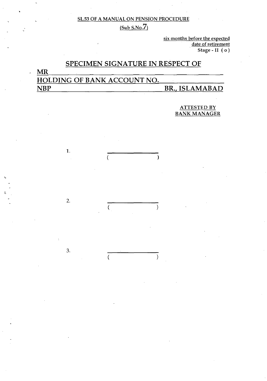$(Sub S.No.7)$ 

six months before the expected date of retirement Stage - II ( o )

### SPECIMEN SIGNATURE IN RESPECT OF

# MR HOLDING OF BANK ACCOUNT NO. NBP BR., ISLAMABAD

 $\lambda$ 

 $\mathcal{E}$ 

 $\lambda$ 

1.

2.

 $\overline{(\ }$ 

 $\overline{(}$ 

3.

ATTESTED BY BANK MANAGER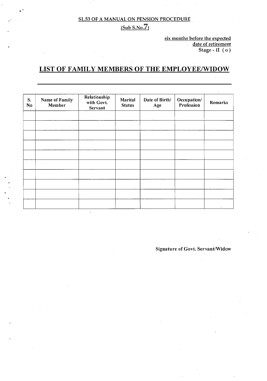#### $(Sub S.No.7)$

six months before the expected date of retirement Stage - II  $(o)$ 

### LIST OF FAMILY MEMBERS OF THE EMPLOYEE/WIDOW

| S.<br>No | Name of Family<br>Member | Relationship<br>with Govt.<br>Servant | Marital<br><b>Status</b> | Date of Birth/<br>Age | Occupation/<br>Profession | Remarks |
|----------|--------------------------|---------------------------------------|--------------------------|-----------------------|---------------------------|---------|
|          |                          |                                       |                          |                       |                           |         |
|          |                          |                                       |                          |                       |                           |         |
|          |                          |                                       |                          |                       |                           |         |
|          | $\bullet$                |                                       |                          |                       |                           |         |
|          |                          |                                       |                          |                       |                           |         |
|          |                          |                                       |                          |                       |                           |         |
|          |                          |                                       |                          | $\sim$                |                           |         |

Signature of Govt. Servant/Widow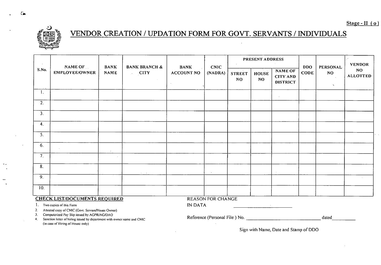

# VENDOR CREATION / UPDATION FORM FOR GOVT. SERVANTS / INDIVIDUALS

| $\sim 10^{-1}$                                                                             |                                      |                            |                                                                             |                                  |                          | PRESENT ADDRESS |                                                                                                     |  |                                                                                                                                                                                                                           |                       | <b>VENDOR</b><br><b>NO</b><br><b>ALLOTTED</b> |  |  |  |
|--------------------------------------------------------------------------------------------|--------------------------------------|----------------------------|-----------------------------------------------------------------------------|----------------------------------|--------------------------|-----------------|-----------------------------------------------------------------------------------------------------|--|---------------------------------------------------------------------------------------------------------------------------------------------------------------------------------------------------------------------------|-----------------------|-----------------------------------------------|--|--|--|
| S.No.                                                                                      | NAME OF<br>EMPLOYEE/OWNER            | <b>BANK</b><br><b>NAME</b> | <b>BANK BRANCH &amp;</b><br>$\overline{\phantom{a}}$ CITY<br>$\sim 10^{-1}$ | <b>BANK</b><br><b>ACCOUNT NO</b> | <b>CNIC</b><br>(NADRA)   |                 | <b>NAME OF</b><br><b>HOUSE</b><br><b>STREET</b><br><b>CITY AND</b><br>NO.<br>NO.<br><b>DISTRICT</b> |  | <b>DDO</b><br><b>CODE</b>                                                                                                                                                                                                 | PERSONAL<br><b>NO</b> |                                               |  |  |  |
| 1.                                                                                         |                                      |                            |                                                                             |                                  |                          |                 |                                                                                                     |  |                                                                                                                                                                                                                           | $\gamma$              |                                               |  |  |  |
|                                                                                            |                                      |                            |                                                                             |                                  |                          |                 |                                                                                                     |  |                                                                                                                                                                                                                           |                       |                                               |  |  |  |
| $\overline{2}$ .                                                                           |                                      |                            |                                                                             |                                  |                          |                 |                                                                                                     |  |                                                                                                                                                                                                                           |                       |                                               |  |  |  |
| 3.                                                                                         |                                      |                            |                                                                             |                                  |                          |                 |                                                                                                     |  |                                                                                                                                                                                                                           |                       |                                               |  |  |  |
| 4.                                                                                         |                                      |                            |                                                                             |                                  |                          |                 |                                                                                                     |  |                                                                                                                                                                                                                           |                       |                                               |  |  |  |
| 5.                                                                                         |                                      |                            |                                                                             |                                  |                          |                 |                                                                                                     |  |                                                                                                                                                                                                                           |                       |                                               |  |  |  |
| 6.                                                                                         |                                      | $\bullet$                  |                                                                             |                                  |                          |                 |                                                                                                     |  |                                                                                                                                                                                                                           |                       |                                               |  |  |  |
| 7 <sub>1</sub>                                                                             |                                      |                            |                                                                             |                                  |                          |                 |                                                                                                     |  |                                                                                                                                                                                                                           |                       |                                               |  |  |  |
| 8.                                                                                         |                                      |                            | $\mathbf{u} = \mathbf{u} \cdot \mathbf{u}$                                  |                                  | $\cdot$                  |                 |                                                                                                     |  |                                                                                                                                                                                                                           |                       |                                               |  |  |  |
| $\overline{9}$ .                                                                           |                                      |                            |                                                                             |                                  |                          |                 |                                                                                                     |  |                                                                                                                                                                                                                           |                       |                                               |  |  |  |
| 10.                                                                                        |                                      |                            |                                                                             |                                  |                          |                 |                                                                                                     |  |                                                                                                                                                                                                                           |                       |                                               |  |  |  |
|                                                                                            | <b>CHECK LIST/DOCUMENTS REQUIRED</b> |                            |                                                                             |                                  | <b>REASON FOR CHANGE</b> |                 |                                                                                                     |  |                                                                                                                                                                                                                           |                       |                                               |  |  |  |
| <b>IN DATA</b><br>1. Two copies of this Form<br>the control of the state of the control of |                                      |                            |                                                                             |                                  |                          |                 |                                                                                                     |  |                                                                                                                                                                                                                           |                       |                                               |  |  |  |
| 2.<br>3 <sub>1</sub><br>4.                                                                 |                                      |                            |                                                                             |                                  | $\sim 100$               |                 |                                                                                                     |  | Attested copy of CNIC (Govt. Scrvant/House Owner)<br>Computerized Pay Slip issued by AGPR/AG/DAO<br>dated<br>Sanction letter of hiring issued by department with owner name and CNIC<br>(in case of Hiring of House only) |                       |                                               |  |  |  |

Sign with Name, Date and Stamp of DDO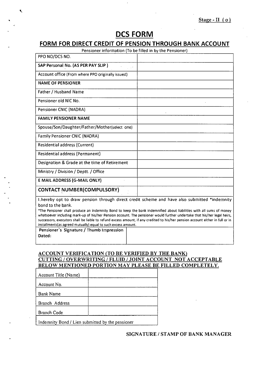### **OCS FORM**

#### **FORM FOR DIRECT CREDIT OF PENSION THROUGH BANK ACCOUNT**

| Pensioner information (To be filled in by the Pensioner)                                                             |  |
|----------------------------------------------------------------------------------------------------------------------|--|
| PPO NO/DCS NO.                                                                                                       |  |
| SAP Personal No. (AS PER PAY SLIP)<br>1000                                                                           |  |
| Account office (From where PPO originally issued)                                                                    |  |
| <b>NAME OF PENSIONER</b>                                                                                             |  |
| <b>Father / Husband Name</b>                                                                                         |  |
| Pensioner old NIC No.                                                                                                |  |
| Pensioner CNIC (NADRA)                                                                                               |  |
| <b>FAMILY PENSIONER NAME</b>                                                                                         |  |
| Spouse/Son/Daughter/Father/Mother(select one)                                                                        |  |
| <b>Family Pensioner CNIC (NADRA)</b>                                                                                 |  |
| Residential address (Current)                                                                                        |  |
| Residential address (Permanent)                                                                                      |  |
| Designation & Grade at the time of Retirement                                                                        |  |
| Ministry / Division / Deptt. / Office                                                                                |  |
| E MAIL ADDRESS (G-MAIL ONLY)                                                                                         |  |
| <b>CONTACT NUMBER(COMPULSORY)</b>                                                                                    |  |
| I hereby opt to draw pension through direct credit scheme and have also submitted *indemnity                         |  |
| bond to the bank.                                                                                                    |  |
| *The Pensioner shall produce an indemnity Bond to keep the bank indemnified about liabilities with all sums of money |  |

whatsoever including mark-up of his/her Pension account. The pensioner would further undertake that his/her legal heirs, successors, executors shall be liable to refund excess amount, if any credited to his/her pension account either in full or in installments(as agreed mutually) equal to such excess amount.

**Pensioner's Signature / Thumb Impression Dated:** 

Ń,

#### ACCOUNT VERIFICATION (TO BE VERIFIED BY THE BANK) CUTTING / OVERWRITING / FLUID / JOINT ACCOUNT NOT ACCEPTABLE BELOW MENTIONED PORTION MAY PLEASE BE FILLED COMPLETELY.

| Account Title (Name) |  |
|----------------------|--|
| Account No.          |  |
| Bank Name            |  |
| Branch Address       |  |
| <b>Branch Code</b>   |  |
|                      |  |

Indemnity Bond / Lien submitted by the pensioner

#### SIGNATURE / STAMP OF BANK MANAGER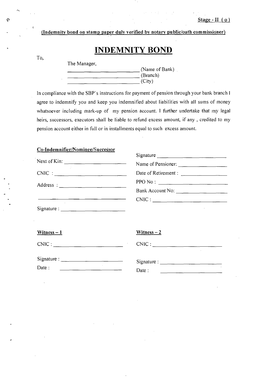#### (Indemnity bond on stamp paper duly verified by notary public/oath commissioner)

**INDEMNITY BOND** 

#### To,

Ø

| The Manager, |                  |
|--------------|------------------|
|              | (Name of Bank)   |
|              | $\cdot$ (Branch) |
|              | (City)           |

In compliance with the SBP's instructions for payment of pension through your bank branch I agree to indemnify you and keep you indemnified about liabilities with all sums of money whatsoever including mark-up of my pension account. I further undertake that my legal heirs, successors, executors shall be liable to refund excess amount, if any , credited to my pension account either in full or in installments equal to such excess amount.

#### Co-Indemnifier/Nominee/Successor

|              | Signature            |
|--------------|----------------------|
| Next of Kin: |                      |
| CNIC:        | Date of Retirement : |
|              | PPO No:              |
|              | Bank Account No:     |
|              |                      |
|              |                      |

Witness  $-2$ 

|--|

 $CNIC:$  CNIC :

| Signature: |  |  |
|------------|--|--|
| Date :     |  |  |

| Signature : |  |
|-------------|--|
| Date :      |  |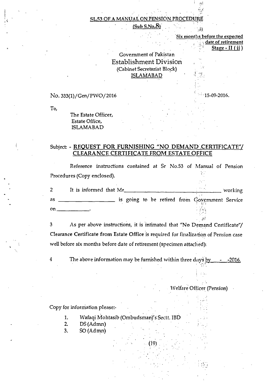#### $(Sub S.No.8)$

| Six months before the expected    |  |  |  |  |  |
|-----------------------------------|--|--|--|--|--|
| <i><b>State of retirement</b></i> |  |  |  |  |  |
| $Stage - II (ii)$                 |  |  |  |  |  |
|                                   |  |  |  |  |  |

.H.

#### Government of Pakistan Establishment Division (Cabinet Secretariat Block) ISLAMABAD

No. 333(1)/ Gen/ PWO/2016

To,

The Estate Officer, Estate Office, ISLAMABAD

#### Subject: - REQUEST FOR FURNISHING "NO DEMAND CERTIFICATE"/ **CLEARANCE CERTIFICATE FROM ESTATE OFFICE**

Reference instructions contained at Sr No.53 of Manual of Pension Procedures (Copy enclosed).

|    | It is informed that Mr |  |  |  |                                                | working |
|----|------------------------|--|--|--|------------------------------------------------|---------|
| as |                        |  |  |  | is going to be retired from Government Service |         |
| on |                        |  |  |  |                                                |         |

3 As per above instructions, it is intimated that "No Demand Certificate"/ Clearance Certificate from Estate Office is required for finalization of Pension case well before six months before date of retirement (specimen attached):

4 The above information may be furnished within three days by  $\sim$  -2016.

(19)

IVelfare Officer (Pension)

#### Copy for information please:-

- 1. Wafaqi Mohtasib (Ombudsman)'s Sectt. IBD
- 2. DS (Admn)
- $3.$  SO (Admn)

15-09-2016.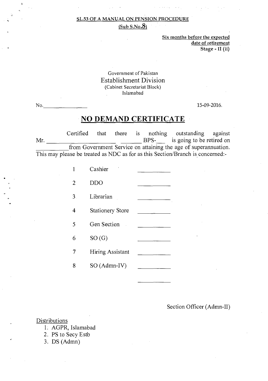$(Sub S.No.8)$ 

Six months before the expected date of retirement Stage - II (ii)

Government of Pakistan Establishment Division (Cabinet Secretariat Block) Islamabad

No. 15-09-2016.

### **NO DEMAND CERTIFICATE**

Certified that there is nothing outstanding against<br>BPS- is going to be retired on Mr. M. Community Community BPS- is going to be retired on from Government Service on attaining the age of superannuation. This may please be treated as NDC as for as this Section/Branch is concerned:-

|                | Cashier                 |  |
|----------------|-------------------------|--|
| 2              | DDO                     |  |
| 3 <sub>1</sub> | Librarian               |  |
| 4              | <b>Stationery Store</b> |  |
| 5              | Gen Section             |  |
| 6              | SO(G)                   |  |
|                | Hiring Assistant        |  |
| 8              | $SO(Admn-IV)$           |  |
|                |                         |  |

#### Section Officer (Admn-II)

#### Distributions

- 1. AGPR, Islamabad
- 2. PS to Secy Estb
- 3. DS (Admn)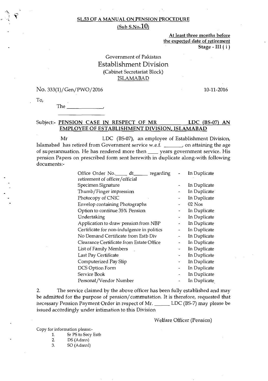#### SL.53 OF A MANUAL ON PENSION PROCEDURE  $(Sub S.No.10)$

At least three months before the expected date of retirement Stage - III ( i )

#### Government of Pakistan Establishment Division (Cabinet Secretariat Block) ISLAMABAD

No. 333(1)/ Gen/ PWO/ 2016 10-11-2016

To,

The

#### Subject:- PENSION CASE IN RESPECT OF MR LDC (BS-07) AN EMPLOYEE OF ESTABLISHMENT DIVISION, ISLAMABAD

Mr LDC (BS-07), an employee of Establishment Division, Islamabad has retired from Government service w.e.f. \_\_\_\_\_\_\_, on attaining the age of superannuation. He has rendered more then \_\_\_\_ years government service. His pension Papers on prescribed form sent herewith in duplicate along-with following documents:-

| Office Order No. dt_<br>regarding          | In Duplicate |
|--------------------------------------------|--------------|
| retirement of officer/official             |              |
| Specimen Signature                         | In Duplicate |
| Thumb/Finger impression                    | In Duplicate |
| Photocopy of CNIC                          | In Duplicate |
| Envelop containing Photographs             | $02$ Nos     |
| Option to continue 35% Pension             | In Duplicate |
| Undertaking                                | In Duplicate |
| Application to draw pension from NBP       | In Duplicate |
| Certificate for non-indulgence in politics | In Duplicate |
| No Demand Certificate from Estb Div        | In Duplicate |
| Clearance Certificate from Estate Office   | In Duplicate |
| List of Family Members                     | In Duplicate |
| Last Pay Certificate                       | In Duplicate |
| Computerized Pay Slip                      | In Duplicate |
| DCS Option Form                            | In Duplicate |
| Service Book                               | In Duplicate |
| Personal/Vendor Number                     | In Duplicate |

2. The service claimed by the above officer has been fully established and may be admitted for the purpose of pension/commutation. It is therefore, requested that necessary Pension Payment Order in respect of Mr. \_\_\_\_\_\_ LDC (BS-7) may please be issued accordingly under intimation to this Division

Welfare Officer (Pension)

Copy for information please:-

- 1. Sr PS to Secy Estb<br>2. DS (Adnu)
- DS (Adnun)
- 3. SO (AdmnI)